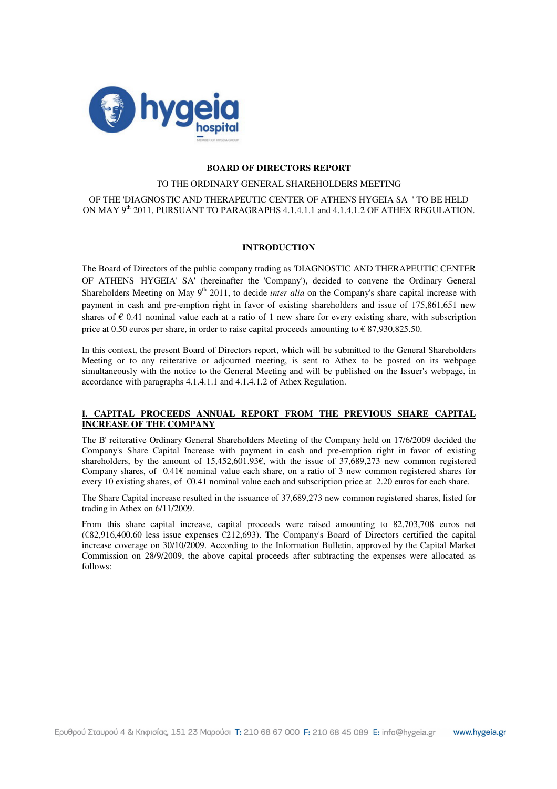

## **BOARD OF DIRECTORS REPORT**

### TO THE ORDINARY GENERAL SHAREHOLDERS MEETING

OF THE 'DIAGNOSTIC AND THERAPEUTIC CENTER OF ATHENS HYGEIA SA ' TO BE HELD ON MAY 9<sup>th</sup> 2011, PURSUANT TO PARAGRAPHS 4.1.4.1.1 and 4.1.4.1.2 OF ATHEX REGULATION.

### **INTRODUCTION**

The Board of Directors of the public company trading as 'DIAGNOSTIC AND THERAPEUTIC CENTER OF ATHENS 'HYGEIA' SA' (hereinafter the 'Company'), decided to convene the Ordinary General Shareholders Meeting on May 9<sup>th</sup> 2011, to decide *inter alia* on the Company's share capital increase with payment in cash and pre-emption right in favor of existing shareholders and issue of 175,861,651 new shares of  $\epsilon$  0.41 nominal value each at a ratio of 1 new share for every existing share, with subscription price at 0.50 euros per share, in order to raise capital proceeds amounting to  $\epsilon$  87,930,825.50.

In this context, the present Board of Directors report, which will be submitted to the General Shareholders Meeting or to any reiterative or adjourned meeting, is sent to Athex to be posted on its webpage simultaneously with the notice to the General Meeting and will be published on the Issuer's webpage, in accordance with paragraphs 4.1.4.1.1 and 4.1.4.1.2 of Athex Regulation.

## Ι**. CAPITAL PROCEEDS ANNUAL REPORT FROM THE PREVIOUS SHARE CAPITAL INCREASE OF THE COMPANY**

The Β' reiterative Ordinary General Shareholders Meeting of the Company held on 17/6/2009 decided the Company's Share Capital Increase with payment in cash and pre-emption right in favor of existing shareholders, by the amount of 15,452,601.93€, with the issue of 37,689,273 new common registered Company shares, of  $0.41\epsilon$  nominal value each share, on a ratio of 3 new common registered shares for every 10 existing shares, of  $\epsilon$ 0.41 nominal value each and subscription price at 2.20 euros for each share.

The Share Capital increase resulted in the issuance of 37,689,273 new common registered shares, listed for trading in Athex on 6/11/2009.

From this share capital increase, capital proceeds were raised amounting to 82,703,708 euros net (€82,916,400.60 less issue expenses €212,693). The Company's Board of Directors certified the capital increase coverage on 30/10/2009. According to the Information Bulletin, approved by the Capital Market Commission on 28/9/2009, the above capital proceeds after subtracting the expenses were allocated as follows: